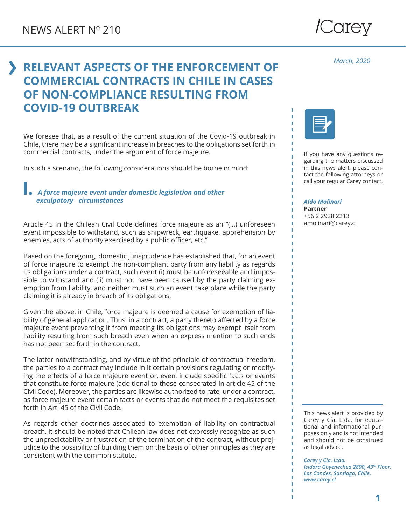

*March, 2020*

## **RELEVANT ASPECTS OF THE ENFORCEMENT OF COMMERCIAL CONTRACTS IN CHILE IN CASES OF NON-COMPLIANCE RESULTING FROM COVID-19 OUTBREAK**

We foresee that, as a result of the current situation of the Covid-19 outbreak in Chile, there may be a significant increase in breaches to the obligations set forth in commercial contracts, under the argument of force majeure.

In such a scenario, the following considerations should be borne in mind:

## **I.** *A force majeure event under domestic legislation and other exculpatory circumstances*

Article 45 in the Chilean Civil Code defines force majeure as an "(…) unforeseen event impossible to withstand, such as shipwreck, earthquake, apprehension by enemies, acts of authority exercised by a public officer, etc."

Based on the foregoing, domestic jurisprudence has established that, for an event of force majeure to exempt the non-compliant party from any liability as regards its obligations under a contract, such event (i) must be unforeseeable and impossible to withstand and (ii) must not have been caused by the party claiming exemption from liability, and neither must such an event take place while the party claiming it is already in breach of its obligations.

Given the above, in Chile, force majeure is deemed a cause for exemption of liability of general application. Thus, in a contract, a party thereto affected by a force majeure event preventing it from meeting its obligations may exempt itself from liability resulting from such breach even when an express mention to such ends has not been set forth in the contract.

The latter notwithstanding, and by virtue of the principle of contractual freedom, the parties to a contract may include in it certain provisions regulating or modifying the effects of a force majeure event or, even, include specific facts or events that constitute force majeure (additional to those consecrated in article 45 of the Civil Code). Moreover, the parties are likewise authorized to rate, under a contract, as force majeure event certain facts or events that do not meet the requisites set forth in Art. 45 of the Civil Code.

As regards other doctrines associated to exemption of liability on contractual breach, it should be noted that Chilean law does not expressly recognize as such the unpredictability or frustration of the termination of the contract, without prejudice to the possibility of building them on the basis of other principles as they are consistent with the common statute.



If you have any questions regarding the matters discussed in this news alert, please contact the following attorneys or call your regular Carey contact.

*Aldo Molinari*

**Partner** +56 2 2928 2213 amolinari@carey.cl

This news alert is provided by Carey y Cía. Ltda. for educational and informational purposes only and is not intended and should not be construed as legal advice.

*Carey y Cía. Ltda. Isidora Goyenechea 2800, 43rd Floor. Las Condes, Santiago, Chile. www.carey.cl*